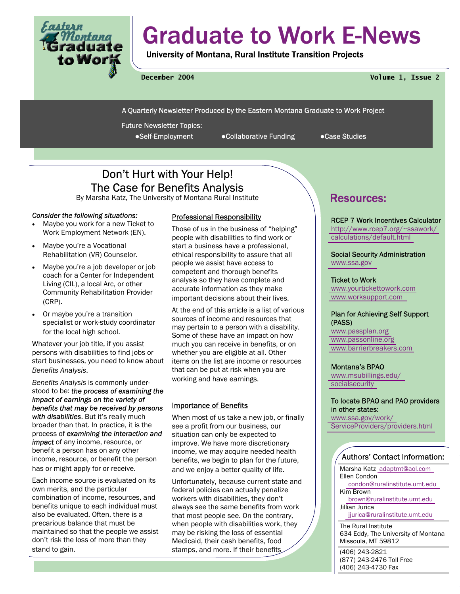

# Graduate to Work E-News

University of Montana, Rural Institute Transition Projects

**December 2004 Volume 1, Issue 2** 

A Quarterly Newsletter Produced by the Eastern Montana Graduate to Work Project

Future Newsletter Topics:

●Self-Employment ●Collaborative Funding ●Case Studies

# Don't Hurt with Your Help! The Case for Benefits Analysis

By Marsha Katz, The University of Montana Rural Institute **Resources:** 

# *Consider the following situations:*

- Maybe you work for a new Ticket to Work Employment Network (EN).
- Maybe you're a Vocational Rehabilitation (VR) Counselor.
- Maybe you're a job developer or job coach for a Center for Independent Living (CIL), a local Arc, or other Community Rehabilitation Provider (CRP).
- Or maybe you're a transition specialist or work-study coordinator for the local high school.

Whatever your job title, if you assist persons with disabilities to find jobs or start businesses, you need to know about *Benefits Analysis*.

*Benefits Analysis* is commonly understood to be: *the process of examining the impact of earnings on the variety of benefits that may be received by persons with disabilities*. But it's really much broader than that. In practice, it is the process of *examining the interaction and impact* of any income, resource, or benefit a person has on any other income, resource, or benefit the person has or might apply for or receive.

Each income source is evaluated on its own merits, and the particular combination of income, resources, and benefits unique to each individual must also be evaluated. Often, there is a precarious balance that must be maintained so that the people we assist don't risk the loss of more than they stand to gain.

# Professional Responsibility

Those of us in the business of "helping" people with disabilities to find work or start a business have a professional, ethical responsibility to assure that all people we assist have access to competent and thorough benefits analysis so they have complete and accurate information as they make important decisions about their lives.

At the end of this article is a list of various sources of income and resources that may pertain to a person with a disability. Some of these have an impact on how much you can receive in benefits, or on whether you are eligible at all. Other items on the list are income or resources that can be put at risk when you are working and have earnings.

# Importance of Benefits

When most of us take a new job, or finally see a profit from our business, our situation can only be expected to improve. We have more discretionary income, we may acquire needed health benefits, we begin to plan for the future, and we enjoy a better quality of life.

Unfortunately, because current state and federal policies can actually penalize workers with disabilities, they don't always see the same benefits from work that most people see. On the contrary, when people with disabilities work, they may be risking the loss of essential Medicaid, their cash benefits, food stamps, and more. If their benefits

RCEP 7 Work Incentives Calculator [http://www.rcep7.org/~ssawork/](http://www.rcep7.org/~ssawork/calculations/default.html) [calculations/default.html](http://www.rcep7.org/~ssawork/calculations/default.html) 

Social Security Administration [www.ssa.gov](http://www.ssa.gov) 

# Ticket to Work

[www.yourtickettowork.com](http://www.yourtickettowork.com)  [www.worksupport.com](http://www.worksupport.com) 

# Plan for Achieving Self Support (PASS)

[www.passplan.org](http://www.passplan.org)  [www.passonline.org](http://www.passonline.org)  [www.barrierbreakers.com](http://www.barrierbreakers.com) 

#### Montana's BPAO

[www.msubillings.edu/](http://www.msubillings.edu/socialsecurity) [socialsecurity](http://www.msubillings.edu/socialsecurity) 

#### To locate BPAO and PAO providers in other states:

[www.ssa.gov/work/](http://www.ssa.gov/work/ServiceProviders/providers.html) [ServiceProviders/providers.html](http://www.ssa.gov/work/ServiceProviders/providers.html) 

# Authors' Contact Information:

Marsha Katz [adaptmt@aol.com](mailto:adaptmt@aol.com)  Ellen Condon [condon@ruralinstitute.umt.edu](mailto:condon@ruralinstitute.umt.edu)  Kim Brown [brown@ruralinstitute.umt.edu](mailto:brown@ruralinstitute.umt.edu)  Jillian Jurica [jjurica@ruralinstitute.umt.edu](mailto:jjurica@ruralinstitute.umt.edu) 

The Rural Institute 634 Eddy, The University of Montana Missoula, MT 59812

(406) 243-2821 (877) 243-2476 Toll Free (406) 243-4730 Fax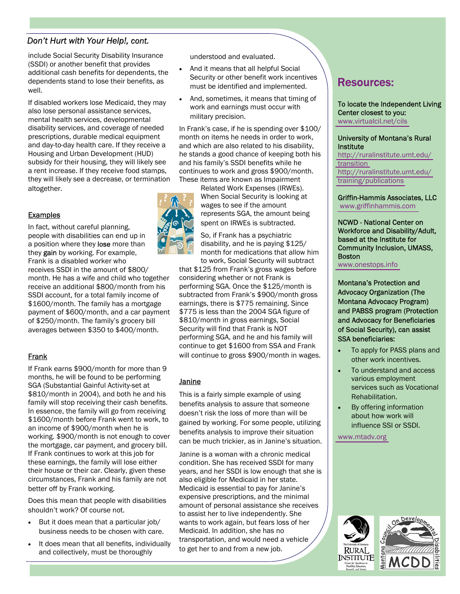# *Don't Hurt with Your Help!, cont.*

include Social Security Disability Insurance (SSDI) or another benefit that provides additional cash benefits for dependents, the dependents stand to lose their benefits, as well.

If disabled workers lose Medicaid, they may also lose personal assistance services, mental health services, developmental disability services, and coverage of needed prescriptions, durable medical equipment and day-to-day health care. If they receive a Housing and Urban Development (HUD) subsidy for their housing, they will likely see a rent increase. If they receive food stamps, they will likely see a decrease, or termination altogether.

# **Examples**

In fact, without careful planning, people with disabilities can end up in a position where they lose more than they gain by working. For example, Frank is a disabled worker who receives SSDI in the amount of \$800/ month. He has a wife and child who together receive an additional \$800/month from his SSDI account, for a total family income of \$1600/month. The family has a mortgage payment of \$600/month, and a car payment of \$250/month. The family's grocery bill averages between \$350 to \$400/month.

# Frank

If Frank earns \$900/month for more than 9 months, he will be found to be performing SGA (Substantial Gainful Activity-set at \$810/month in 2004), and both he and his family will stop receiving their cash benefits. In essence, the family will go from receiving \$1600/month before Frank went to work, to an income of \$900/month when he is working. \$900/month is not enough to cover the mortgage, car payment, and grocery bill. If Frank continues to work at this job for these earnings, the family will lose either their house or their car. Clearly, given these circumstances, Frank and his family are not better off by Frank working.

Does this mean that people with disabilities shouldn't work? Of course not.

- But it does mean that a particular job/ business needs to be chosen with care.
- It does mean that all benefits, individually and collectively, must be thoroughly

understood and evaluated.

- And it means that all helpful Social Security or other benefit work incentives must be identified and implemented.
- And, sometimes, it means that timing of work and earnings must occur with military precision.

In Frank's case, if he is spending over \$100/ month on items he needs in order to work, and which are also related to his disability, he stands a good chance of keeping both his and his family's SSDI benefits while he continues to work and gross \$900/month. These items are known as Impairment

Related Work Expenses (IRWEs). When Social Security is looking at wages to see if the amount represents SGA, the amount being spent on IRWEs is subtracted.

So, if Frank has a psychiatric disability, and he is paying \$125/ month for medications that allow him to work, Social Security will subtract

that \$125 from Frank's gross wages before considering whether or not Frank is performing SGA. Once the \$125/month is subtracted from Frank's \$900/month gross earnings, there is \$775 remaining. Since \$775 is less than the 2004 SGA figure of \$810/month in gross earnings, Social Security will find that Frank is NOT performing SGA, and he and his family will continue to get \$1600 from SSA and Frank will continue to gross \$900/month in wages.

# **Janine**

This is a fairly simple example of using benefits analysis to assure that someone doesn't risk the loss of more than will be gained by working. For some people, utilizing benefits analysis to improve their situation can be much trickier, as in Janine's situation.

Janine is a woman with a chronic medical condition. She has received SSDI for many years, and her SSDI is low enough that she is also eligible for Medicaid in her state. Medicaid is essential to pay for Janine's expensive prescriptions, and the minimal amount of personal assistance she receives to assist her to live independently. She wants to work again, but fears loss of her Medicaid. In addition, she has no transportation, and would need a vehicle to get her to and from a new job.

# Resources:

To locate the Independent Living Center closest to you: [www.virtualcil.net/cils](http://www.virtualcil.net/cils) 

## University of Montana's Rural **Institute**

[http://ruralinstitute.umt.edu/](http://ruralinstitute.umt.edu/transition) [transition](http://ruralinstitute.umt.edu/transition)  [http://ruralinstitute.umt.edu/](http://ruralinstitute.umt.edu/training/publications.asp) [training/publications](http://ruralinstitute.umt.edu/training/publications.asp) 

Griffin-Hammis Associates, LLC  [www.griffinhammis.com](http://www.griffinhammis.com) 

NCWD - National Center on Workforce and Disability/Adult, based at the Institute for Community Inclusion, UMASS, Boston

[www.onestops.info](http://www.onestops.info) 

Montana's Protection and Advocacy Organization (The Montana Advocacy Program) and PABSS program (Protection and Advocacy for Beneficiaries of Social Security), can assist SSA beneficiaries:

- To apply for PASS plans and other work incentives.
- To understand and access various employment services such as Vocational Rehabilitation.
- By offering information about how work will influence SSI or SSDI.

[www.mtadv.org](http://www.mtadv.org) 



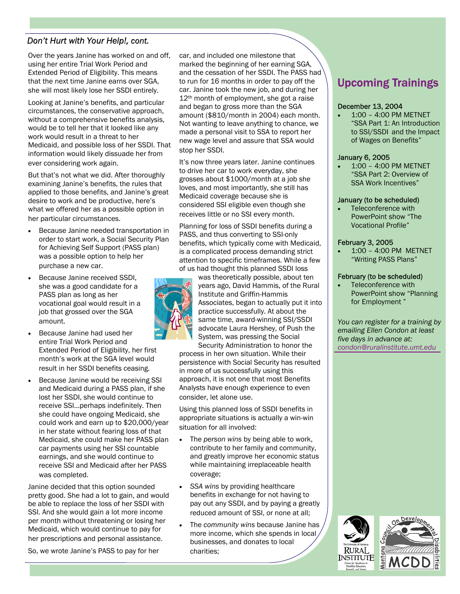# *Don't Hurt with Your Help!, cont.*

Over the years Janine has worked on and off, using her entire Trial Work Period and Extended Period of Eligibility. This means that the next time Janine earns over SGA, she will most likely lose her SSDI entirely.

Looking at Janine's benefits, and particular circumstances, the conservative approach, without a comprehensive benefits analysis, would be to tell her that it looked like any work would result in a threat to her Medicaid, and possible loss of her SSDI. That information would likely dissuade her from ever considering work again.

But that's not what we did. After thoroughly examining Janine's benefits, the rules that applied to those benefits, and Janine's great desire to work and be productive, here's what we offered her as a possible option in her particular circumstances.

- Because Janine needed transportation in order to start work, a Social Security Plan for Achieving Self Support (PASS plan) was a possible option to help her purchase a new car.
- Because Janine received SSDI, she was a good candidate for a PASS plan as long as her vocational goal would result in a job that grossed over the SGA amount.
- Because Janine had used her entire Trial Work Period and Extended Period of Eligibility, her first month's work at the SGA level would result in her SSDI benefits ceasing.
- Because Janine would be receiving SSI and Medicaid during a PASS plan, if she lost her SSDI, she would continue to receive SSI…perhaps indefinitely. Then she could have ongoing Medicaid, she could work and earn up to \$20,000/year in her state without fearing loss of that Medicaid, she could make her PASS plan car payments using her SSI countable earnings, and she would continue to receive SSI and Medicaid after her PASS was completed.

Janine decided that this option sounded pretty good. She had a lot to gain, and would be able to replace the loss of her SSDI with SSI. And she would gain a lot more income per month without threatening or losing her Medicaid, which would continue to pay for her prescriptions and personal assistance.

So, we wrote Janine's PASS to pay for her

car, and included one milestone that marked the beginning of her earning SGA, and the cessation of her SSDI. The PASS had to run for 16 months in order to pay off the car. Janine took the new job, and during her 12<sup>th</sup> month of employment, she got a raise and began to gross more than the SGA amount (\$810/month in 2004) each month. Not wanting to leave anything to chance, we made a personal visit to SSA to report her new wage level and assure that SSA would stop her SSDI.

It's now three years later. Janine continues to drive her car to work everyday, she grosses about \$1000/month at a job she loves, and most importantly, she still has Medicaid coverage because she is considered SSI eligible even though she receives little or no SSI every month.

Planning for loss of SSDI benefits during a PASS, and thus converting to SSI-only benefits, which typically come with Medicaid, is a complicated process demanding strict attention to specific timeframes. While a few of us had thought this planned SSDI loss



was theoretically possible, about ten years ago, David Hammis, of the Rural Institute and Griffin-Hammis Associates, began to actually put it into practice successfully. At about the same time, award-winning SSI/SSDI advocate Laura Hershey, of Push the System, was pressing the Social Security Administration to honor the

process in her own situation. While their persistence with Social Security has resulted in more of us successfully using this approach, it is not one that most Benefits Analysts have enough experience to even consider, let alone use.

Using this planned loss of SSDI benefits in appropriate situations is actually a win-win situation for all involved:

- The *person wins* by being able to work, contribute to her family and community, and greatly improve her economic status while maintaining irreplaceable health coverage;
- *SSA wins* by providing healthcare benefits in exchange for not having to pay out any SSDI, and by paying a greatly reduced amount of SSI, or none at all;
- The *community wins* because Janine has more income, which she spends in local businesses, and donates to local charities;

# Upcoming Trainings

#### December 13, 2004

• 1:00 – 4:00 PM METNET "SSA Part 1: An Introduction to SSI/SSDI and the Impact of Wages on Benefits"

## January 6, 2005

• 1:00 – 4:00 PM METNET "SSA Part 2: Overview of SSA Work Incentives"

#### January (to be scheduled)

Teleconference with PowerPoint show "The Vocational Profile"

## February 3, 2005

• 1:00 – 4:00 PM METNET "Writing PASS Plans"

# February (to be scheduled)

Teleconference with PowerPoint show "Planning for Employment "

*You can register for a training by emailing Ellen Condon at least five days in advance at: [condon@ruralinstitute.umt.edu](mailto:condon@ruralinstitute.umt.edu)* 

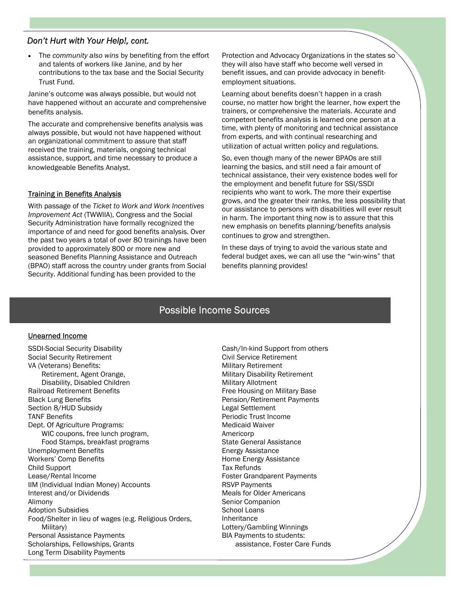# *Don't Hurt with Your Help!, cont.*

• The *community also wins* by benefiting from the effort and talents of workers like Janine, and by her contributions to the tax base and the Social Security Trust Fund.

Janine's outcome was always possible, but would not have happened without an accurate and comprehensive benefits analysis.

The accurate and comprehensive benefits analysis was always possible, but would not have happened without an organizational commitment to assure that staff received the training, materials, ongoing technical assistance, support, and time necessary to produce a knowledgeable Benefits Analyst.

# Training in Benefits Analysis

With passage of the *Ticket to Work and Work Incentives Improvement Act* (TWWIIA), Congress and the Social Security Administration have formally recognized the importance of and need for good benefits analysis. Over the past two years a total of over 80 trainings have been provided to approximately 800 or more new and seasoned Benefits Planning Assistance and Outreach (BPAO) staff across the country under grants from Social Security. Additional funding has been provided to the

Protection and Advocacy Organizations in the states so they will also have staff who become well versed in benefit issues, and can provide advocacy in benefitemployment situations.

Learning about benefits doesn't happen in a crash course, no matter how bright the learner, how expert the trainers, or comprehensive the materials. Accurate and competent benefits analysis is learned one person at a time, with plenty of monitoring and technical assistance from experts, and with continual researching and utilization of actual written policy and regulations.

So, even though many of the newer BPAOs are still learning the basics, and still need a fair amount of technical assistance, their very existence bodes well for the employment and benefit future for SSI/SSDI recipients who want to work. The more their expertise grows, and the greater their ranks, the less possibility that our assistance to persons with disabilities will ever result in harm. The important thing now is to assure that this new emphasis on benefits planning/benefits analysis continues to grow and strengthen.

In these days of trying to avoid the various state and federal budget axes, we can all use the "win-wins" that benefits planning provides!

# Possible Income Sources

# Unearned Income

SSDI-Social Security Disability Social Security Retirement VA (Veterans) Benefits: Retirement, Agent Orange, Disability, Disabled Children Railroad Retirement Benefits Black Lung Benefits Section 8/HUD Subsidy TANF Benefits Dept. Of Agriculture Programs: WIC coupons, free lunch program, Food Stamps, breakfast programs Unemployment Benefits Workers' Comp Benefits Child Support Lease/Rental Income IIM (Individual Indian Money) Accounts Interest and/or Dividends Alimony Adoption Subsidies Food/Shelter in lieu of wages (e.g. Religious Orders, Military) Personal Assistance Payments Scholarships, Fellowships, Grants Long Term Disability Payments

Cash/In-kind Support from others Civil Service Retirement Military Retirement Military Disability Retirement Military Allotment Free Housing on Military Base Pension/Retirement Payments Legal Settlement Periodic Trust Income Medicaid Waiver Americorp State General Assistance Energy Assistance Home Energy Assistance Tax Refunds Foster Grandparent Payments RSVP Payments Meals for Older Americans Senior Companion School Loans Inheritance Lottery/Gambling Winnings BIA Payments to students: assistance, Foster Care Funds